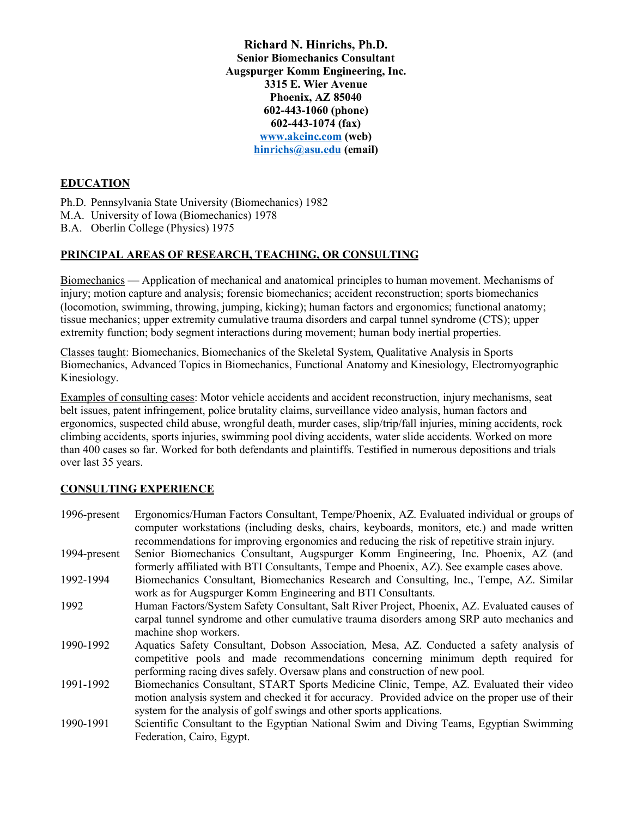**Richard N. Hinrichs, Ph.D. Senior Biomechanics Consultant Augspurger Komm Engineering, Inc. 3315 E. Wier Avenue Phoenix, AZ 85040 602-443-1060 (phone) 602-443-1074 (fax) www.akeinc.com (web) hinrichs@asu.edu (email)**

#### **EDUCATION**

Ph.D. Pennsylvania State University (Biomechanics) 1982

M.A. University of Iowa (Biomechanics) 1978

B.A. Oberlin College (Physics) 1975

# **PRINCIPAL AREAS OF RESEARCH, TEACHING, OR CONSULTING**

Biomechanics — Application of mechanical and anatomical principles to human movement. Mechanisms of injury; motion capture and analysis; forensic biomechanics; accident reconstruction; sports biomechanics (locomotion, swimming, throwing, jumping, kicking); human factors and ergonomics; functional anatomy; tissue mechanics; upper extremity cumulative trauma disorders and carpal tunnel syndrome (CTS); upper extremity function; body segment interactions during movement; human body inertial properties.

Classes taught: Biomechanics, Biomechanics of the Skeletal System, Qualitative Analysis in Sports Biomechanics, Advanced Topics in Biomechanics, Functional Anatomy and Kinesiology, Electromyographic Kinesiology.

Examples of consulting cases: Motor vehicle accidents and accident reconstruction, injury mechanisms, seat belt issues, patent infringement, police brutality claims, surveillance video analysis, human factors and ergonomics, suspected child abuse, wrongful death, murder cases, slip/trip/fall injuries, mining accidents, rock climbing accidents, sports injuries, swimming pool diving accidents, water slide accidents. Worked on more than 400 cases so far. Worked for both defendants and plaintiffs. Testified in numerous depositions and trials over last 35 years.

# **CONSULTING EXPERIENCE**

| Ergonomics/Human Factors Consultant, Tempe/Phoenix, AZ. Evaluated individual or groups of<br>computer workstations (including desks, chairs, keyboards, monitors, etc.) and made written<br>recommendations for improving ergonomics and reducing the risk of repetitive strain injury. |
|-----------------------------------------------------------------------------------------------------------------------------------------------------------------------------------------------------------------------------------------------------------------------------------------|
| Senior Biomechanics Consultant, Augspurger Komm Engineering, Inc. Phoenix, AZ (and                                                                                                                                                                                                      |
| formerly affiliated with BTI Consultants, Tempe and Phoenix, AZ). See example cases above.                                                                                                                                                                                              |
| Biomechanics Consultant, Biomechanics Research and Consulting, Inc., Tempe, AZ. Similar                                                                                                                                                                                                 |
| work as for Augspurger Komm Engineering and BTI Consultants.                                                                                                                                                                                                                            |
| Human Factors/System Safety Consultant, Salt River Project, Phoenix, AZ. Evaluated causes of                                                                                                                                                                                            |
| carpal tunnel syndrome and other cumulative trauma disorders among SRP auto mechanics and                                                                                                                                                                                               |
| machine shop workers.                                                                                                                                                                                                                                                                   |
| Aquatics Safety Consultant, Dobson Association, Mesa, AZ. Conducted a safety analysis of<br>competitive pools and made recommendations concerning minimum depth required for                                                                                                            |
| performing racing dives safely. Oversaw plans and construction of new pool.                                                                                                                                                                                                             |
| Biomechanics Consultant, START Sports Medicine Clinic, Tempe, AZ. Evaluated their video<br>motion analysis system and checked it for accuracy. Provided advice on the proper use of their                                                                                               |
| system for the analysis of golf swings and other sports applications.                                                                                                                                                                                                                   |
| Scientific Consultant to the Egyptian National Swim and Diving Teams, Egyptian Swimming<br>Federation, Cairo, Egypt.                                                                                                                                                                    |
|                                                                                                                                                                                                                                                                                         |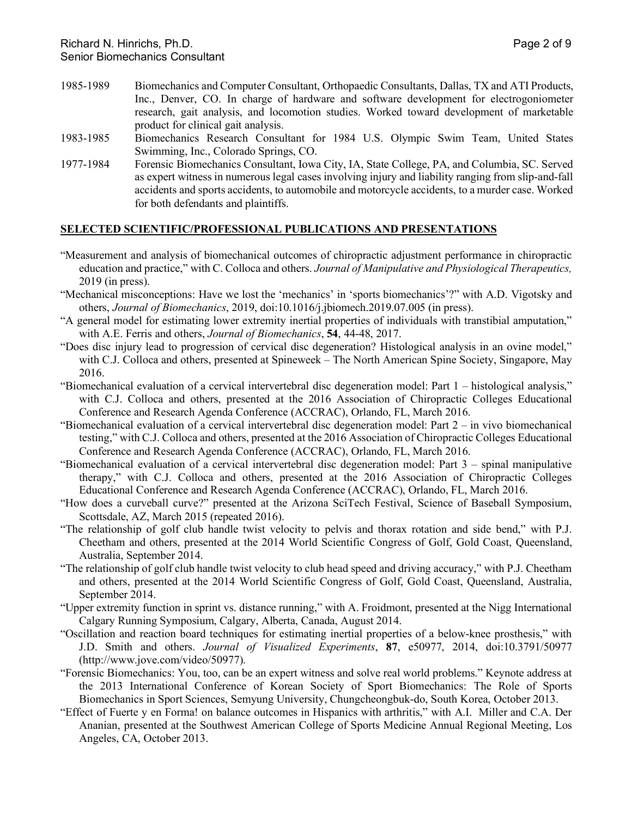- 1985-1989 Biomechanics and Computer Consultant, Orthopaedic Consultants, Dallas, TX and ATI Products, Inc., Denver, CO. In charge of hardware and software development for electrogoniometer research, gait analysis, and locomotion studies. Worked toward development of marketable product for clinical gait analysis.
- 1983-1985 Biomechanics Research Consultant for 1984 U.S. Olympic Swim Team, United States Swimming, Inc., Colorado Springs, CO.
- 1977-1984 Forensic Biomechanics Consultant, Iowa City, IA, State College, PA, and Columbia, SC. Served as expert witness in numerous legal cases involving injury and liability ranging from slip-and-fall accidents and sports accidents, to automobile and motorcycle accidents, to a murder case. Worked for both defendants and plaintiffs.

### **SELECTED SCIENTIFIC/PROFESSIONAL PUBLICATIONS AND PRESENTATIONS**

- "Measurement and analysis of biomechanical outcomes of chiropractic adjustment performance in chiropractic education and practice," with C. Colloca and others. *Journal of Manipulative and Physiological Therapeutics,*  2019 (in press).
- "Mechanical misconceptions: Have we lost the 'mechanics' in 'sports biomechanics'?" with A.D. Vigotsky and others, *Journal of Biomechanics*, 2019, doi:10.1016/j.jbiomech.2019.07.005 (in press).
- "A general model for estimating lower extremity inertial properties of individuals with transtibial amputation," with A.E. Ferris and others, *Journal of Biomechanics*, **54**, 44-48, 2017.
- "Does disc injury lead to progression of cervical disc degeneration? Histological analysis in an ovine model," with C.J. Colloca and others, presented at Spineweek – The North American Spine Society, Singapore, May 2016.
- "Biomechanical evaluation of a cervical intervertebral disc degeneration model: Part 1 histological analysis," with C.J. Colloca and others, presented at the 2016 Association of Chiropractic Colleges Educational Conference and Research Agenda Conference (ACCRAC), Orlando, FL, March 2016.
- "Biomechanical evaluation of a cervical intervertebral disc degeneration model: Part 2 in vivo biomechanical testing," with C.J. Colloca and others, presented at the 2016 Association of Chiropractic Colleges Educational Conference and Research Agenda Conference (ACCRAC), Orlando, FL, March 2016.
- "Biomechanical evaluation of a cervical intervertebral disc degeneration model: Part 3 spinal manipulative therapy," with C.J. Colloca and others, presented at the 2016 Association of Chiropractic Colleges Educational Conference and Research Agenda Conference (ACCRAC), Orlando, FL, March 2016.
- "How does a curveball curve?" presented at the Arizona SciTech Festival, Science of Baseball Symposium, Scottsdale, AZ, March 2015 (repeated 2016).
- "The relationship of golf club handle twist velocity to pelvis and thorax rotation and side bend," with P.J. Cheetham and others, presented at the 2014 World Scientific Congress of Golf, Gold Coast, Queensland, Australia, September 2014.
- "The relationship of golf club handle twist velocity to club head speed and driving accuracy," with P.J. Cheetham and others, presented at the 2014 World Scientific Congress of Golf, Gold Coast, Queensland, Australia, September 2014.
- "Upper extremity function in sprint vs. distance running," with A. Froidmont, presented at the Nigg International Calgary Running Symposium, Calgary, Alberta, Canada, August 2014.
- "Oscillation and reaction board techniques for estimating inertial properties of a below-knee prosthesis," with J.D. Smith and others. *Journal of Visualized Experiments*, **87**, e50977, 2014, doi:10.3791/50977 (http://www.jove.com/video/50977).
- "Forensic Biomechanics: You, too, can be an expert witness and solve real world problems." Keynote address at the 2013 International Conference of Korean Society of Sport Biomechanics: The Role of Sports Biomechanics in Sport Sciences, Semyung University, Chungcheongbuk-do, South Korea, October 2013.
- "Effect of Fuerte y en Forma! on balance outcomes in Hispanics with arthritis," with A.I. Miller and C.A. Der Ananian, presented at the Southwest American College of Sports Medicine Annual Regional Meeting, Los Angeles, CA, October 2013.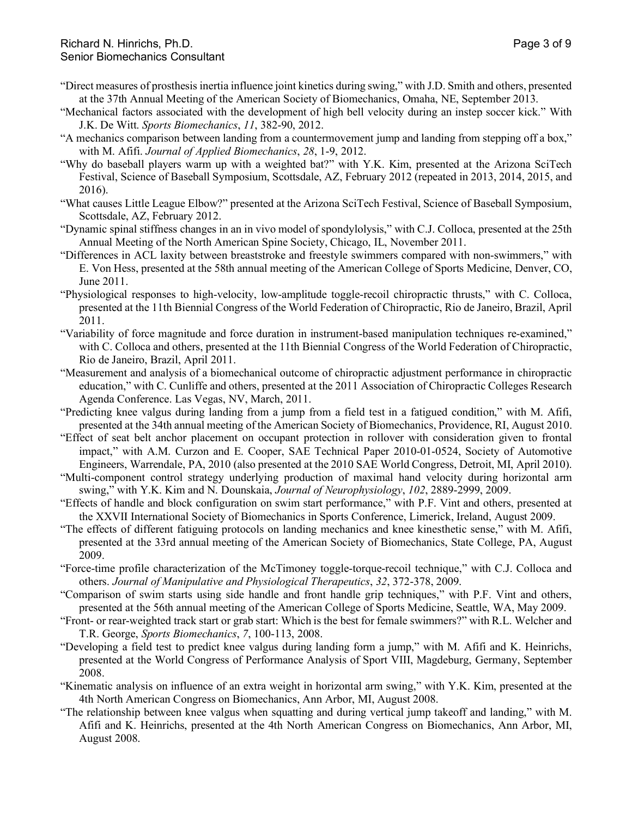- "Direct measures of prosthesis inertia influence joint kinetics during swing," with J.D. Smith and others, presented at the 37th Annual Meeting of the American Society of Biomechanics, Omaha, NE, September 2013.
- "Mechanical factors associated with the development of high bell velocity during an instep soccer kick." With J.K. De Witt. *Sports Biomechanics*, *11*, 382-90, 2012.
- "A mechanics comparison between landing from a countermovement jump and landing from stepping off a box," with M. Afifi. *Journal of Applied Biomechanics*, *28*, 1-9, 2012.
- "Why do baseball players warm up with a weighted bat?" with Y.K. Kim, presented at the Arizona SciTech Festival, Science of Baseball Symposium, Scottsdale, AZ, February 2012 (repeated in 2013, 2014, 2015, and 2016).
- "What causes Little League Elbow?" presented at the Arizona SciTech Festival, Science of Baseball Symposium, Scottsdale, AZ, February 2012.
- "Dynamic spinal stiffness changes in an in vivo model of spondylolysis," with C.J. Colloca, presented at the 25th Annual Meeting of the North American Spine Society, Chicago, IL, November 2011.
- "Differences in ACL laxity between breaststroke and freestyle swimmers compared with non-swimmers," with E. Von Hess, presented at the 58th annual meeting of the American College of Sports Medicine, Denver, CO, June 2011.
- "Physiological responses to high-velocity, low-amplitude toggle-recoil chiropractic thrusts," with C. Colloca, presented at the 11th Biennial Congress of the World Federation of Chiropractic, Rio de Janeiro, Brazil, April 2011.
- "Variability of force magnitude and force duration in instrument-based manipulation techniques re-examined," with C. Colloca and others, presented at the 11th Biennial Congress of the World Federation of Chiropractic, Rio de Janeiro, Brazil, April 2011.
- "Measurement and analysis of a biomechanical outcome of chiropractic adjustment performance in chiropractic education," with C. Cunliffe and others, presented at the 2011 Association of Chiropractic Colleges Research Agenda Conference. Las Vegas, NV, March, 2011.
- "Predicting knee valgus during landing from a jump from a field test in a fatigued condition," with M. Afifi, presented at the 34th annual meeting of the American Society of Biomechanics, Providence, RI, August 2010.
- "Effect of seat belt anchor placement on occupant protection in rollover with consideration given to frontal impact," with A.M. Curzon and E. Cooper, SAE Technical Paper 2010-01-0524, Society of Automotive Engineers, Warrendale, PA, 2010 (also presented at the 2010 SAE World Congress, Detroit, MI, April 2010).
- "Multi-component control strategy underlying production of maximal hand velocity during horizontal arm swing," with Y.K. Kim and N. Dounskaia, *Journal of Neurophysiology*, *102*, 2889-2999, 2009.
- "Effects of handle and block configuration on swim start performance," with P.F. Vint and others, presented at the XXVII International Society of Biomechanics in Sports Conference, Limerick, Ireland, August 2009.
- "The effects of different fatiguing protocols on landing mechanics and knee kinesthetic sense," with M. Afifi, presented at the 33rd annual meeting of the American Society of Biomechanics, State College, PA, August 2009.
- "Force-time profile characterization of the McTimoney toggle-torque-recoil technique," with C.J. Colloca and others. *Journal of Manipulative and Physiological Therapeutics*, *32*, 372-378, 2009.
- "Comparison of swim starts using side handle and front handle grip techniques," with P.F. Vint and others, presented at the 56th annual meeting of the American College of Sports Medicine, Seattle, WA, May 2009.
- "Front- or rear-weighted track start or grab start: Which is the best for female swimmers?" with R.L. Welcher and T.R. George, *Sports Biomechanics*, *7*, 100-113, 2008.
- "Developing a field test to predict knee valgus during landing form a jump," with M. Afifi and K. Heinrichs, presented at the World Congress of Performance Analysis of Sport VIII, Magdeburg, Germany, September 2008.
- "Kinematic analysis on influence of an extra weight in horizontal arm swing," with Y.K. Kim, presented at the 4th North American Congress on Biomechanics, Ann Arbor, MI, August 2008.
- "The relationship between knee valgus when squatting and during vertical jump takeoff and landing," with M. Afifi and K. Heinrichs, presented at the 4th North American Congress on Biomechanics, Ann Arbor, MI, August 2008.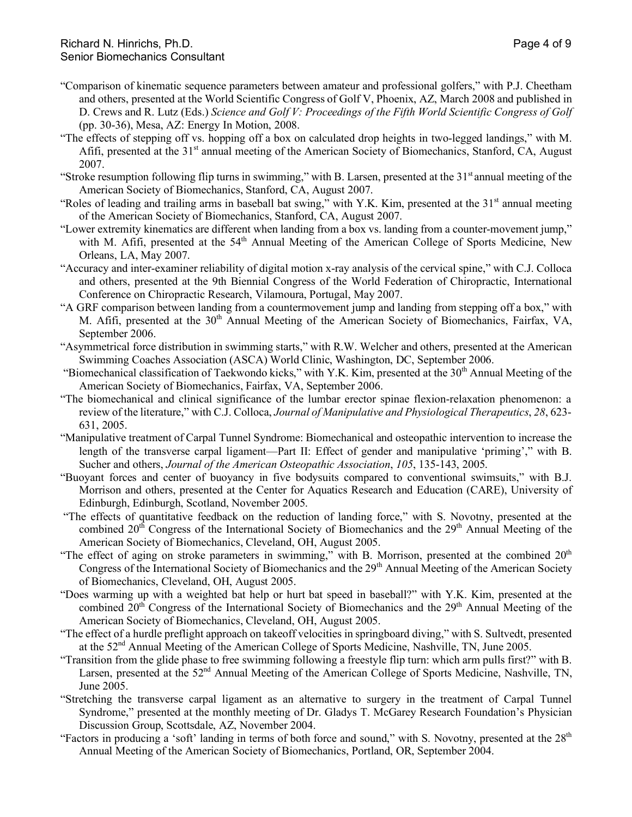- "Comparison of kinematic sequence parameters between amateur and professional golfers," with P.J. Cheetham and others, presented at the World Scientific Congress of Golf V, Phoenix, AZ, March 2008 and published in D. Crews and R. Lutz (Eds.) *Science and Golf V: Proceedings of the Fifth World Scientific Congress of Golf* (pp. 30-36), Mesa, AZ: Energy In Motion, 2008.
- "The effects of stepping off vs. hopping off a box on calculated drop heights in two-legged landings," with M. Afifi, presented at the 31<sup>st</sup> annual meeting of the American Society of Biomechanics, Stanford, CA, August 2007.
- "Stroke resumption following flip turns in swimming," with B. Larsen, presented at the  $31<sup>st</sup>$  annual meeting of the American Society of Biomechanics, Stanford, CA, August 2007.
- "Roles of leading and trailing arms in baseball bat swing," with Y.K. Kim, presented at the 31<sup>st</sup> annual meeting of the American Society of Biomechanics, Stanford, CA, August 2007.
- "Lower extremity kinematics are different when landing from a box vs. landing from a counter-movement jump," with M. Afifi, presented at the 54<sup>th</sup> Annual Meeting of the American College of Sports Medicine, New Orleans, LA, May 2007.
- "Accuracy and inter-examiner reliability of digital motion x-ray analysis of the cervical spine," with C.J. Colloca and others, presented at the 9th Biennial Congress of the World Federation of Chiropractic, International Conference on Chiropractic Research, Vilamoura, Portugal, May 2007.
- "A GRF comparison between landing from a countermovement jump and landing from stepping off a box," with M. Afifi, presented at the 30<sup>th</sup> Annual Meeting of the American Society of Biomechanics, Fairfax, VA, September 2006.
- "Asymmetrical force distribution in swimming starts," with R.W. Welcher and others, presented at the American Swimming Coaches Association (ASCA) World Clinic, Washington, DC, September 2006.
- "Biomechanical classification of Taekwondo kicks," with Y.K. Kim, presented at the 30<sup>th</sup> Annual Meeting of the American Society of Biomechanics, Fairfax, VA, September 2006.
- "The biomechanical and clinical significance of the lumbar erector spinae flexion-relaxation phenomenon: a review of the literature," with C.J. Colloca, *Journal of Manipulative and Physiological Therapeutics*, *28*, 623- 631, 2005.
- "Manipulative treatment of Carpal Tunnel Syndrome: Biomechanical and osteopathic intervention to increase the length of the transverse carpal ligament—Part II: Effect of gender and manipulative 'priming'," with B. Sucher and others, *Journal of the American Osteopathic Association*, *105*, 135-143, 2005.
- "Buoyant forces and center of buoyancy in five bodysuits compared to conventional swimsuits," with B.J. Morrison and others, presented at the Center for Aquatics Research and Education (CARE), University of Edinburgh, Edinburgh, Scotland, November 2005.
- "The effects of quantitative feedback on the reduction of landing force," with S. Novotny, presented at the combined  $20<sup>th</sup>$  Congress of the International Society of Biomechanics and the  $29<sup>th</sup>$  Annual Meeting of the American Society of Biomechanics, Cleveland, OH, August 2005.
- "The effect of aging on stroke parameters in swimming," with B. Morrison, presented at the combined 20<sup>th</sup> Congress of the International Society of Biomechanics and the 29<sup>th</sup> Annual Meeting of the American Society of Biomechanics, Cleveland, OH, August 2005.
- "Does warming up with a weighted bat help or hurt bat speed in baseball?" with Y.K. Kim, presented at the combined 20<sup>th</sup> Congress of the International Society of Biomechanics and the 29<sup>th</sup> Annual Meeting of the American Society of Biomechanics, Cleveland, OH, August 2005.
- "The effect of a hurdle preflight approach on takeoff velocities in springboard diving," with S. Sultvedt, presented at the 52<sup>nd</sup> Annual Meeting of the American College of Sports Medicine, Nashville, TN, June 2005.
- "Transition from the glide phase to free swimming following a freestyle flip turn: which arm pulls first?" with B. Larsen, presented at the 52<sup>nd</sup> Annual Meeting of the American College of Sports Medicine, Nashville, TN, June 2005.
- "Stretching the transverse carpal ligament as an alternative to surgery in the treatment of Carpal Tunnel Syndrome," presented at the monthly meeting of Dr. Gladys T. McGarey Research Foundation's Physician Discussion Group, Scottsdale, AZ, November 2004.
- "Factors in producing a 'soft' landing in terms of both force and sound," with S. Novotny, presented at the  $28<sup>th</sup>$ Annual Meeting of the American Society of Biomechanics, Portland, OR, September 2004.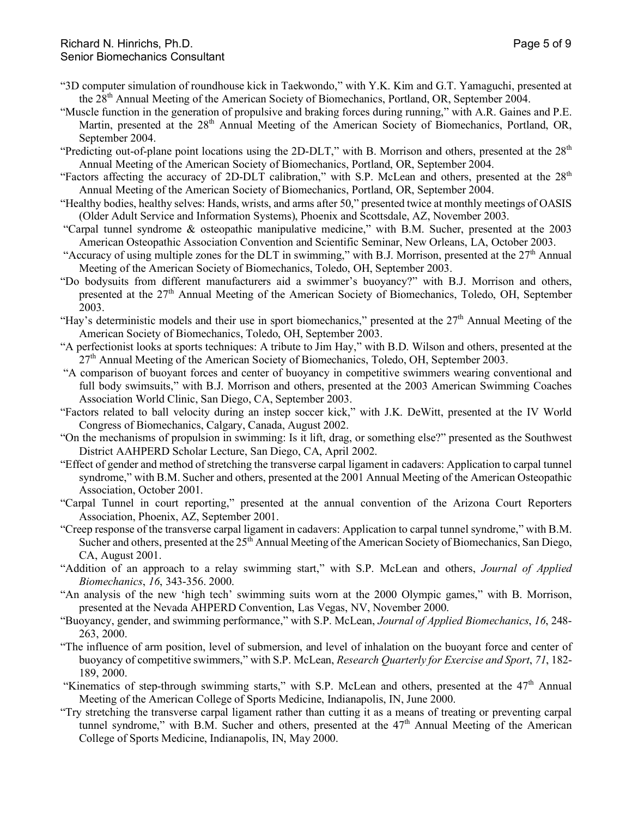- "3D computer simulation of roundhouse kick in Taekwondo," with Y.K. Kim and G.T. Yamaguchi, presented at the 28<sup>th</sup> Annual Meeting of the American Society of Biomechanics, Portland, OR, September 2004.
- "Muscle function in the generation of propulsive and braking forces during running," with A.R. Gaines and P.E. Martin, presented at the 28<sup>th</sup> Annual Meeting of the American Society of Biomechanics, Portland, OR, September 2004.
- "Predicting out-of-plane point locations using the 2D-DLT," with B. Morrison and others, presented at the  $28<sup>th</sup>$ Annual Meeting of the American Society of Biomechanics, Portland, OR, September 2004.
- "Factors affecting the accuracy of 2D-DLT calibration," with S.P. McLean and others, presented at the 28<sup>th</sup> Annual Meeting of the American Society of Biomechanics, Portland, OR, September 2004.
- "Healthy bodies, healthy selves: Hands, wrists, and arms after 50," presented twice at monthly meetings of OASIS (Older Adult Service and Information Systems), Phoenix and Scottsdale, AZ, November 2003.
- "Carpal tunnel syndrome & osteopathic manipulative medicine," with B.M. Sucher, presented at the 2003 American Osteopathic Association Convention and Scientific Seminar, New Orleans, LA, October 2003.
- "Accuracy of using multiple zones for the DLT in swimming," with B.J. Morrison, presented at the  $27<sup>th</sup>$  Annual Meeting of the American Society of Biomechanics, Toledo, OH, September 2003.
- "Do bodysuits from different manufacturers aid a swimmer's buoyancy?" with B.J. Morrison and others, presented at the 27<sup>th</sup> Annual Meeting of the American Society of Biomechanics, Toledo, OH, September 2003.
- "Hay's deterministic models and their use in sport biomechanics," presented at the 27<sup>th</sup> Annual Meeting of the American Society of Biomechanics, Toledo, OH, September 2003.
- "A perfectionist looks at sports techniques: A tribute to Jim Hay," with B.D. Wilson and others, presented at the 27<sup>th</sup> Annual Meeting of the American Society of Biomechanics, Toledo, OH, September 2003.
- "A comparison of buoyant forces and center of buoyancy in competitive swimmers wearing conventional and full body swimsuits," with B.J. Morrison and others, presented at the 2003 American Swimming Coaches Association World Clinic, San Diego, CA, September 2003.
- "Factors related to ball velocity during an instep soccer kick," with J.K. DeWitt, presented at the IV World Congress of Biomechanics, Calgary, Canada, August 2002.
- "On the mechanisms of propulsion in swimming: Is it lift, drag, or something else?" presented as the Southwest District AAHPERD Scholar Lecture, San Diego, CA, April 2002.
- "Effect of gender and method of stretching the transverse carpal ligament in cadavers: Application to carpal tunnel syndrome," with B.M. Sucher and others, presented at the 2001 Annual Meeting of the American Osteopathic Association, October 2001.
- "Carpal Tunnel in court reporting," presented at the annual convention of the Arizona Court Reporters Association, Phoenix, AZ, September 2001.
- "Creep response of the transverse carpal ligament in cadavers: Application to carpal tunnel syndrome," with B.M. Sucher and others, presented at the  $25<sup>th</sup>$  Annual Meeting of the American Society of Biomechanics, San Diego, CA, August 2001.
- "Addition of an approach to a relay swimming start," with S.P. McLean and others, *Journal of Applied Biomechanics*, *16*, 343-356. 2000.
- "An analysis of the new 'high tech' swimming suits worn at the 2000 Olympic games," with B. Morrison, presented at the Nevada AHPERD Convention, Las Vegas, NV, November 2000.
- "Buoyancy, gender, and swimming performance," with S.P. McLean, *Journal of Applied Biomechanics*, *16*, 248- 263, 2000.
- "The influence of arm position, level of submersion, and level of inhalation on the buoyant force and center of buoyancy of competitive swimmers," with S.P. McLean, *Research Quarterly for Exercise and Sport*, *71*, 182- 189, 2000.
- "Kinematics of step-through swimming starts," with S.P. McLean and others, presented at the 47<sup>th</sup> Annual Meeting of the American College of Sports Medicine, Indianapolis, IN, June 2000.
- "Try stretching the transverse carpal ligament rather than cutting it as a means of treating or preventing carpal tunnel syndrome," with B.M. Sucher and others, presented at the  $47<sup>th</sup>$  Annual Meeting of the American College of Sports Medicine, Indianapolis, IN, May 2000.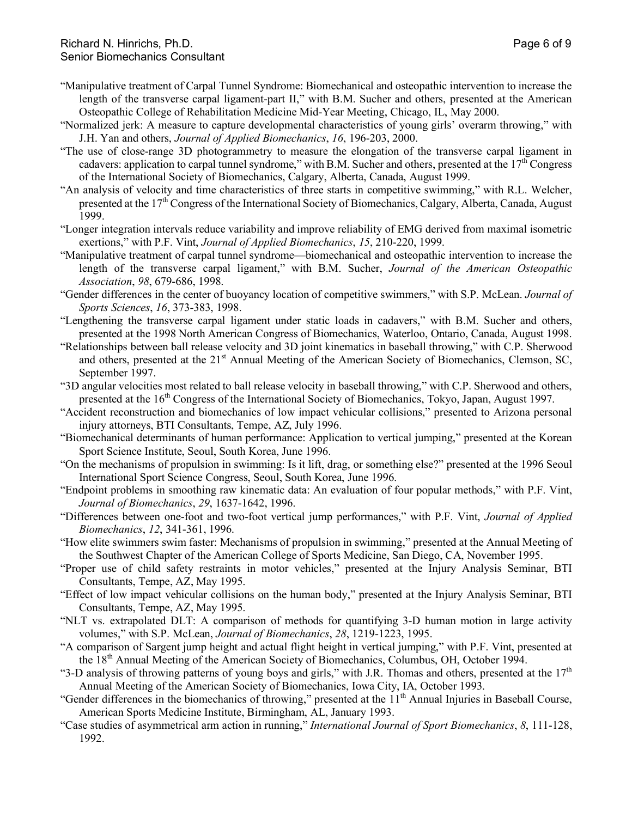- "Manipulative treatment of Carpal Tunnel Syndrome: Biomechanical and osteopathic intervention to increase the length of the transverse carpal ligament-part II," with B.M. Sucher and others, presented at the American Osteopathic College of Rehabilitation Medicine Mid-Year Meeting, Chicago, IL, May 2000.
- "Normalized jerk: A measure to capture developmental characteristics of young girls' overarm throwing," with J.H. Yan and others, *Journal of Applied Biomechanics*, *16*, 196-203, 2000.
- "The use of close-range 3D photogrammetry to measure the elongation of the transverse carpal ligament in cadavers: application to carpal tunnel syndrome," with B.M. Sucher and others, presented at the 17<sup>th</sup> Congress of the International Society of Biomechanics, Calgary, Alberta, Canada, August 1999.
- "An analysis of velocity and time characteristics of three starts in competitive swimming," with R.L. Welcher, presented at the 17<sup>th</sup> Congress of the International Society of Biomechanics, Calgary, Alberta, Canada, August 1999.
- "Longer integration intervals reduce variability and improve reliability of EMG derived from maximal isometric exertions," with P.F. Vint, *Journal of Applied Biomechanics*, *15*, 210-220, 1999.
- "Manipulative treatment of carpal tunnel syndrome—biomechanical and osteopathic intervention to increase the length of the transverse carpal ligament," with B.M. Sucher, *Journal of the American Osteopathic Association*, *98*, 679-686, 1998.
- "Gender differences in the center of buoyancy location of competitive swimmers," with S.P. McLean. *Journal of Sports Sciences*, *16*, 373-383, 1998.
- "Lengthening the transverse carpal ligament under static loads in cadavers," with B.M. Sucher and others, presented at the 1998 North American Congress of Biomechanics, Waterloo, Ontario, Canada, August 1998.
- "Relationships between ball release velocity and 3D joint kinematics in baseball throwing," with C.P. Sherwood and others, presented at the  $21<sup>st</sup>$  Annual Meeting of the American Society of Biomechanics, Clemson, SC, September 1997.
- "3D angular velocities most related to ball release velocity in baseball throwing," with C.P. Sherwood and others, presented at the  $16<sup>th</sup>$  Congress of the International Society of Biomechanics, Tokyo, Japan, August 1997.
- "Accident reconstruction and biomechanics of low impact vehicular collisions," presented to Arizona personal injury attorneys, BTI Consultants, Tempe, AZ, July 1996.
- "Biomechanical determinants of human performance: Application to vertical jumping," presented at the Korean Sport Science Institute, Seoul, South Korea, June 1996.
- "On the mechanisms of propulsion in swimming: Is it lift, drag, or something else?" presented at the 1996 Seoul International Sport Science Congress, Seoul, South Korea, June 1996.
- "Endpoint problems in smoothing raw kinematic data: An evaluation of four popular methods," with P.F. Vint, *Journal of Biomechanics*, *29*, 1637-1642, 1996.
- "Differences between one-foot and two-foot vertical jump performances," with P.F. Vint, *Journal of Applied Biomechanics*, *12*, 341-361, 1996.
- "How elite swimmers swim faster: Mechanisms of propulsion in swimming," presented at the Annual Meeting of the Southwest Chapter of the American College of Sports Medicine, San Diego, CA, November 1995.
- "Proper use of child safety restraints in motor vehicles," presented at the Injury Analysis Seminar, BTI Consultants, Tempe, AZ, May 1995.
- "Effect of low impact vehicular collisions on the human body," presented at the Injury Analysis Seminar, BTI Consultants, Tempe, AZ, May 1995.
- "NLT vs. extrapolated DLT: A comparison of methods for quantifying 3-D human motion in large activity volumes," with S.P. McLean, *Journal of Biomechanics*, *28*, 1219-1223, 1995.
- "A comparison of Sargent jump height and actual flight height in vertical jumping," with P.F. Vint, presented at the 18th Annual Meeting of the American Society of Biomechanics, Columbus, OH, October 1994.
- "3-D analysis of throwing patterns of young boys and girls," with J.R. Thomas and others, presented at the  $17<sup>th</sup>$ Annual Meeting of the American Society of Biomechanics, Iowa City, IA, October 1993.
- "Gender differences in the biomechanics of throwing," presented at the 11<sup>th</sup> Annual Injuries in Baseball Course, American Sports Medicine Institute, Birmingham, AL, January 1993.
- "Case studies of asymmetrical arm action in running," *International Journal of Sport Biomechanics*, *8*, 111-128, 1992.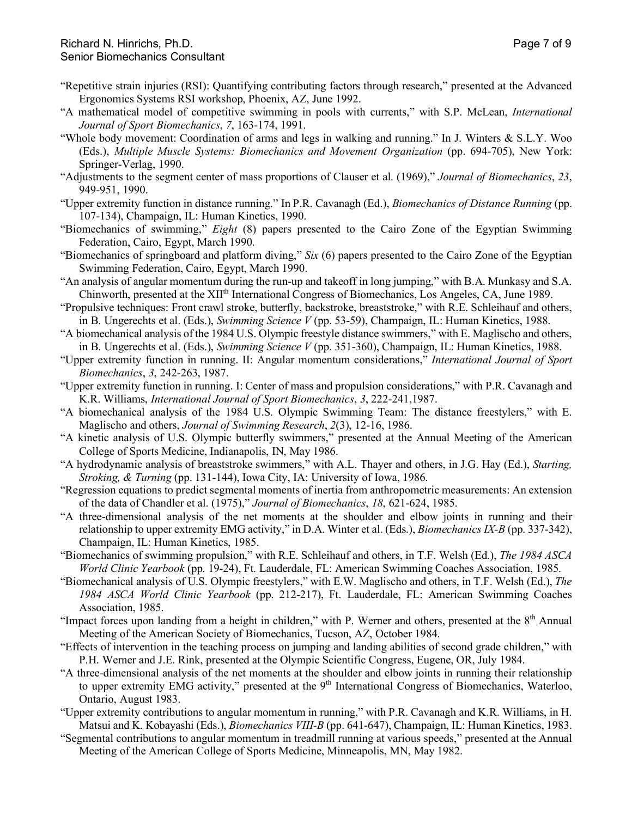- "Repetitive strain injuries (RSI): Quantifying contributing factors through research," presented at the Advanced Ergonomics Systems RSI workshop, Phoenix, AZ, June 1992.
- "A mathematical model of competitive swimming in pools with currents," with S.P. McLean, *International Journal of Sport Biomechanics*, *7*, 163-174, 1991.
- "Whole body movement: Coordination of arms and legs in walking and running." In J. Winters & S.L.Y. Woo (Eds.), *Multiple Muscle Systems: Biomechanics and Movement Organization* (pp. 694-705), New York: Springer-Verlag, 1990.
- "Adjustments to the segment center of mass proportions of Clauser et al. (1969)," *Journal of Biomechanics*, *23*, 949-951, 1990.
- "Upper extremity function in distance running." In P.R. Cavanagh (Ed.), *Biomechanics of Distance Running* (pp. 107-134), Champaign, IL: Human Kinetics, 1990.
- "Biomechanics of swimming," *Eight* (8) papers presented to the Cairo Zone of the Egyptian Swimming Federation, Cairo, Egypt, March 1990.
- "Biomechanics of springboard and platform diving," *Six* (6) papers presented to the Cairo Zone of the Egyptian Swimming Federation, Cairo, Egypt, March 1990.
- "An analysis of angular momentum during the run-up and takeoff in long jumping," with B.A. Munkasy and S.A. Chinworth, presented at the XII<sup>th</sup> International Congress of Biomechanics, Los Angeles, CA, June 1989.
- "Propulsive techniques: Front crawl stroke, butterfly, backstroke, breaststroke," with R.E. Schleihauf and others, in B. Ungerechts et al. (Eds.), *Swimming Science V* (pp. 53-59), Champaign, IL: Human Kinetics, 1988.
- "A biomechanical analysis of the 1984 U.S. Olympic freestyle distance swimmers," with E. Maglischo and others, in B. Ungerechts et al. (Eds.), *Swimming Science V* (pp. 351-360), Champaign, IL: Human Kinetics, 1988.
- "Upper extremity function in running. II: Angular momentum considerations," *International Journal of Sport Biomechanics*, *3*, 242-263, 1987.
- "Upper extremity function in running. I: Center of mass and propulsion considerations," with P.R. Cavanagh and K.R. Williams, *International Journal of Sport Biomechanics*, *3*, 222-241,1987.
- "A biomechanical analysis of the 1984 U.S. Olympic Swimming Team: The distance freestylers," with E. Maglischo and others, *Journal of Swimming Research*, *2*(3), 12-16, 1986.
- "A kinetic analysis of U.S. Olympic butterfly swimmers," presented at the Annual Meeting of the American College of Sports Medicine, Indianapolis, IN, May 1986.
- "A hydrodynamic analysis of breaststroke swimmers," with A.L. Thayer and others, in J.G. Hay (Ed.), *Starting, Stroking, & Turning* (pp. 131-144), Iowa City, IA: University of Iowa, 1986.
- "Regression equations to predict segmental moments of inertia from anthropometric measurements: An extension of the data of Chandler et al. (1975)," *Journal of Biomechanics*, *18*, 621-624, 1985.
- "A three-dimensional analysis of the net moments at the shoulder and elbow joints in running and their relationship to upper extremity EMG activity," in D.A. Winter et al. (Eds.), *Biomechanics IX-B* (pp. 337-342), Champaign, IL: Human Kinetics, 1985.
- "Biomechanics of swimming propulsion," with R.E. Schleihauf and others, in T.F. Welsh (Ed.), *The 1984 ASCA World Clinic Yearbook* (pp. 19-24), Ft. Lauderdale, FL: American Swimming Coaches Association, 1985.
- "Biomechanical analysis of U.S. Olympic freestylers," with E.W. Maglischo and others, in T.F. Welsh (Ed.), *The 1984 ASCA World Clinic Yearbook* (pp. 212-217), Ft. Lauderdale, FL: American Swimming Coaches Association, 1985.
- "Impact forces upon landing from a height in children," with P. Werner and others, presented at the 8<sup>th</sup> Annual Meeting of the American Society of Biomechanics, Tucson, AZ, October 1984.
- "Effects of intervention in the teaching process on jumping and landing abilities of second grade children," with P.H. Werner and J.E. Rink, presented at the Olympic Scientific Congress, Eugene, OR, July 1984.
- "A three-dimensional analysis of the net moments at the shoulder and elbow joints in running their relationship to upper extremity EMG activity," presented at the 9<sup>th</sup> International Congress of Biomechanics, Waterloo, Ontario, August 1983.
- "Upper extremity contributions to angular momentum in running," with P.R. Cavanagh and K.R. Williams, in H. Matsui and K. Kobayashi (Eds.), *Biomechanics VIII-B* (pp. 641-647), Champaign, IL: Human Kinetics, 1983.
- "Segmental contributions to angular momentum in treadmill running at various speeds," presented at the Annual Meeting of the American College of Sports Medicine, Minneapolis, MN, May 1982.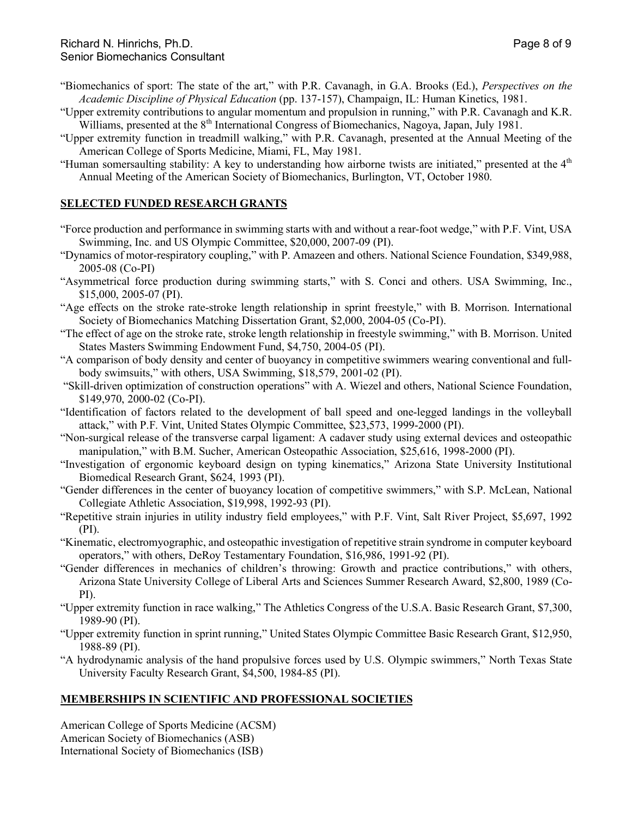- "Biomechanics of sport: The state of the art," with P.R. Cavanagh, in G.A. Brooks (Ed.), *Perspectives on the Academic Discipline of Physical Education* (pp. 137-157), Champaign, IL: Human Kinetics, 1981.
- "Upper extremity contributions to angular momentum and propulsion in running," with P.R. Cavanagh and K.R. Williams, presented at the 8<sup>th</sup> International Congress of Biomechanics, Nagoya, Japan, July 1981.
- "Upper extremity function in treadmill walking," with P.R. Cavanagh, presented at the Annual Meeting of the American College of Sports Medicine, Miami, FL, May 1981.
- "Human somersaulting stability: A key to understanding how airborne twists are initiated," presented at the 4<sup>th</sup> Annual Meeting of the American Society of Biomechanics, Burlington, VT, October 1980.

# **SELECTED FUNDED RESEARCH GRANTS**

- "Force production and performance in swimming starts with and without a rear-foot wedge," with P.F. Vint, USA Swimming, Inc. and US Olympic Committee, \$20,000, 2007-09 (PI).
- "Dynamics of motor-respiratory coupling," with P. Amazeen and others. National Science Foundation, \$349,988, 2005-08 (Co-PI)
- "Asymmetrical force production during swimming starts," with S. Conci and others. USA Swimming, Inc., \$15,000, 2005-07 (PI).
- "Age effects on the stroke rate-stroke length relationship in sprint freestyle," with B. Morrison. International Society of Biomechanics Matching Dissertation Grant, \$2,000, 2004-05 (Co-PI).
- "The effect of age on the stroke rate, stroke length relationship in freestyle swimming," with B. Morrison. United States Masters Swimming Endowment Fund, \$4,750, 2004-05 (PI).
- "A comparison of body density and center of buoyancy in competitive swimmers wearing conventional and fullbody swimsuits," with others, USA Swimming, \$18,579, 2001-02 (PI).
- "Skill-driven optimization of construction operations" with A. Wiezel and others, National Science Foundation, \$149,970, 2000-02 (Co-PI).
- "Identification of factors related to the development of ball speed and one-legged landings in the volleyball attack," with P.F. Vint, United States Olympic Committee, \$23,573, 1999-2000 (PI).
- "Non-surgical release of the transverse carpal ligament: A cadaver study using external devices and osteopathic manipulation," with B.M. Sucher, American Osteopathic Association, \$25,616, 1998-2000 (PI).
- "Investigation of ergonomic keyboard design on typing kinematics," Arizona State University Institutional Biomedical Research Grant, \$624, 1993 (PI).
- "Gender differences in the center of buoyancy location of competitive swimmers," with S.P. McLean, National Collegiate Athletic Association, \$19,998, 1992-93 (PI).
- "Repetitive strain injuries in utility industry field employees," with P.F. Vint, Salt River Project, \$5,697, 1992 (PI).
- "Kinematic, electromyographic, and osteopathic investigation of repetitive strain syndrome in computer keyboard operators," with others, DeRoy Testamentary Foundation, \$16,986, 1991-92 (PI).
- "Gender differences in mechanics of children's throwing: Growth and practice contributions," with others, Arizona State University College of Liberal Arts and Sciences Summer Research Award, \$2,800, 1989 (Co-PI).
- "Upper extremity function in race walking," The Athletics Congress of the U.S.A. Basic Research Grant, \$7,300, 1989-90 (PI).
- "Upper extremity function in sprint running," United States Olympic Committee Basic Research Grant, \$12,950, 1988-89 (PI).
- "A hydrodynamic analysis of the hand propulsive forces used by U.S. Olympic swimmers," North Texas State University Faculty Research Grant, \$4,500, 1984-85 (PI).

# **MEMBERSHIPS IN SCIENTIFIC AND PROFESSIONAL SOCIETIES**

American College of Sports Medicine (ACSM) American Society of Biomechanics (ASB) International Society of Biomechanics (ISB)